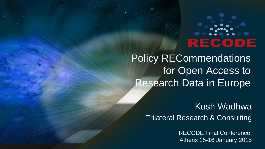# 巨

Policy RECommendations for Open Access to Research Data in Europe

> Kush Wadhwa Trilateral Research & Consulting

> > RECODE Final Conference, Athens 15-16 January 2015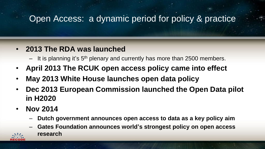### Open Access: a dynamic period for policy & practice

#### • **2013 The RDA was launched**

- $-$  It is planning it's  $5<sup>th</sup>$  plenary and currently has more than 2500 members.
- **April 2013 The RCUK open access policy came into effect**
- **May 2013 White House launches open data policy**
- **Dec 2013 European Commission launched the Open Data pilot in H2020**
- **Nov 2014** 
	- **Dutch government announces open access to data as a key policy aim**
	- **Gates Foundation announces world's strongest policy on open access research**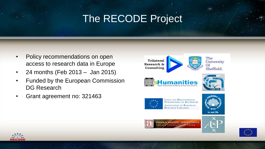## The RECODE Project

- Policy recommendations on open access to research data in Europe
- 24 months (Feb 2013 Jan 2015)
- Funded by the European Commission DG Research
- Grant agreement no: 321463







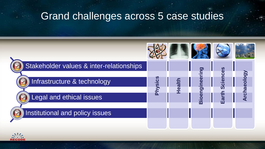## Grand challenges across 5 case studies



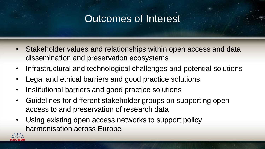## Outcomes of Interest

- Stakeholder values and relationships within open access and data dissemination and preservation ecosystems
- Infrastructural and technological challenges and potential solutions
- Legal and ethical barriers and good practice solutions
- Institutional barriers and good practice solutions
- Guidelines for different stakeholder groups on supporting open access to and preservation of research data
- Using existing open access networks to support policy harmonisation across Europe

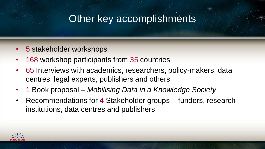## Other key accomplishments

- 5 stakeholder workshops
- 168 workshop participants from 35 countries
- 65 Interviews with academics, researchers, policy-makers, data centres, legal experts, publishers and others
- 1 Book proposal *Mobilising Data in a Knowledge Society*
- Recommendations for 4 Stakeholder groups funders, research institutions, data centres and publishers